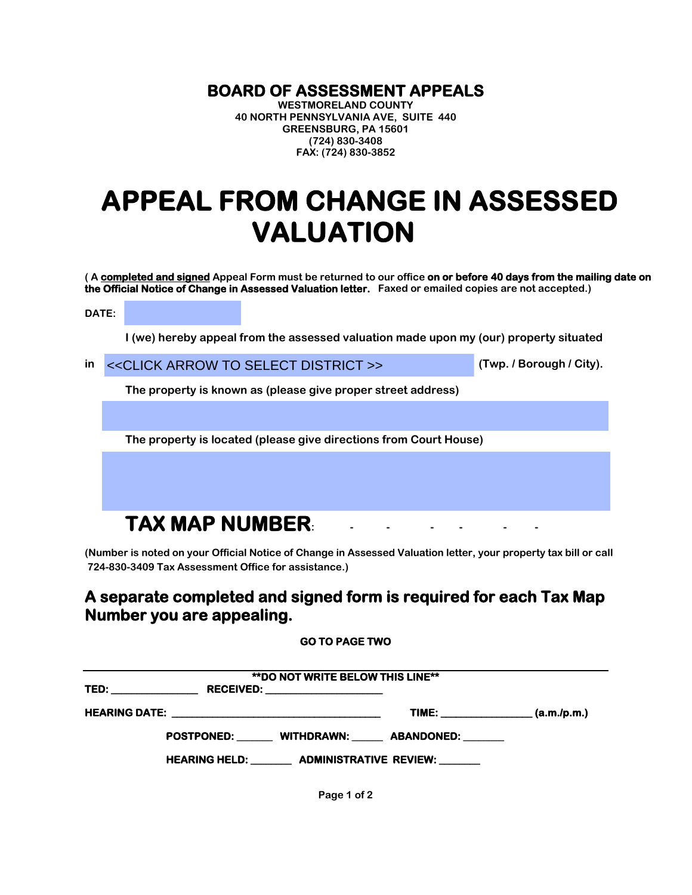## **BOARD OF ASSESSMENT APPEALS WESTMORELAND COUNTY**

**40 NORTH PENNSYLVANIA AVE, SUITE 440 GREENSBURG, PA 15601 (724) 830-3408 FAX: (724) 830-3852**

## **APPEAL FROM CHANGE IN ASSESSED VALUATION**

**( A completed and signed Appeal Form must be returned to our office on or before 40 days from the mailing date on the Official Notice of Change in Assessed Valuation letter. Faxed or emailed copies are not accepted.)**

**DATE:** 

**I (we) hereby appeal from the assessed valuation made upon my (our) property situated** 

**in (Twp. / Borough / City).** 

**The property is known as (please give proper street address)** 

**The property is located (please give directions from Court House)** 

## **TAX MAP NUMBER:**

**(Number is noted on your Official Notice of Change in Assessed Valuation letter, your property tax bill or call 724-830-3409 Tax Assessment Office for assistance.)** 

## **A separate completed and signed form is required for each Tax Map Number you are appealing.**

**GO TO PAGE TWO** 

| <b>**DO NOT WRITE BELOW THIS LINE**</b> |                                                        |                                  |  |  |
|-----------------------------------------|--------------------------------------------------------|----------------------------------|--|--|
|                                         |                                                        |                                  |  |  |
|                                         |                                                        | TIME: $( a.m./p.m.)$             |  |  |
|                                         |                                                        | POSTPONED: WITHDRAWN: ABANDONED: |  |  |
|                                         | HEARING HELD: _________ ADMINISTRATIVE REVIEW: _______ |                                  |  |  |

**Page 1 of 2**